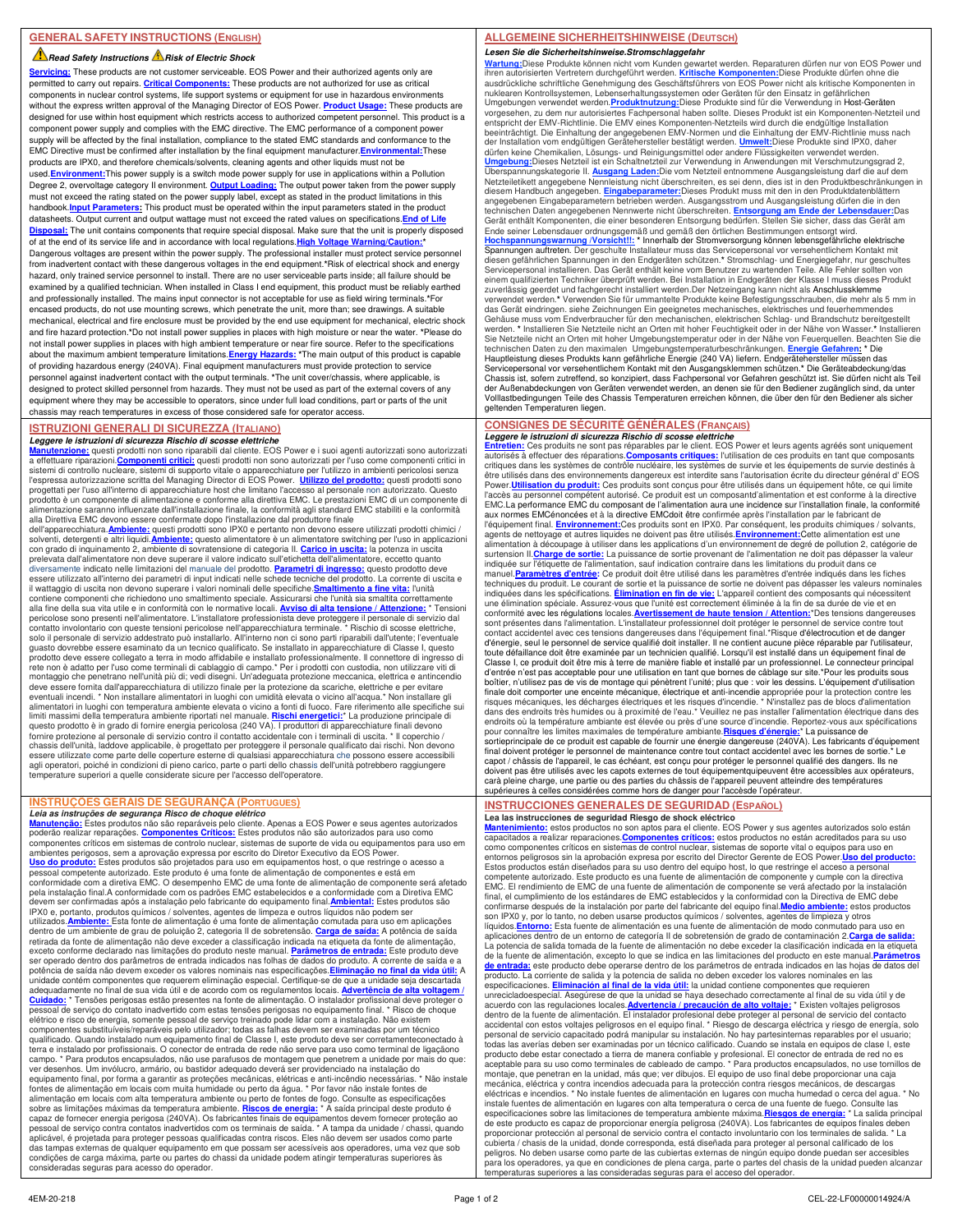#### **Read Safety Instructions A Risk of Electric Shock**

**Servicing:** These products are not customer serviceable. EOS Power and their authorized agents only are permitted to carry out repairs. **Critical Components:** These products are not authorized for use as critical components in nuclear control systems, life support systems or equipment for use in hazardous environments without the express written approval of the Managing Director of EOS Power. **Product Usage:** These products are designed for use within host equipment which restricts access to authorized competent personnel. This product is a component power supply and complies with the EMC directive. The EMC performance of a component power supply will be affected by the final installation, compliance to the stated EMC standards and conformance to the EMC Directive must be confirmed after installation by the final equipment manufacturer.**Environmental:**These products are IPX0, and therefore chemicals/solvents, cleaning agents and other liquids must not be used.**Environment:**This power supply is a switch mode power supply for use in applications within a Pollution Degree 2, overvoltage category II environment. **Output Loading:** The output power taken from the power supply must not exceed the rating stated on the power supply label, except as stated in the product limitations in this handbook.<mark>Input Parameters:</mark> This product must be operated within the input parameters stated in the product<br>datasheets. Output current and output wattage must not exceed the rated values on specifications.<mark>End of Life</mark> **Disposal:** The unit contains components that require special disposal. Make sure that the unit is properly disposed of at the end of its service life and in accordance with local regulations. High Voltage Warning/Cau Dangerous voltages are present within the power supply. The professional installer must protect service personnel from inadvertent contact with these dangerous voltages in the end equipment.**\***Risk of electrical shock and energy hazard, only trained service personnel to install. There are no user serviceable parts inside; all failure should be examined by a qualified technician. When installed in Class I end equipment, this product must be reliably earthed and professionally installed. The mains input connector is not acceptable for use as field wiring terminals.**\***For encased products, do not use mounting screws, which penetrate the unit, more than; see drawings. A suitable mechanical, electrical and fire enclosure must be provided by the end use equipment for mechanical, electric shock and fire hazard protection.**\***Do not install power supplies in places with high moisture or near the water. **\***Please do not install power supplies in places with high ambient temperature or near fire source. Refer to the specifications about the maximum ambient temperature limitations.**Energy Hazards: \***The main output of this product is capable of providing hazardous energy (240VA). Final equipment manufacturers must provide protection to service personnel against inadvertent contact with the output terminals. **\***The unit cover/chassis, where applicable, is designed to protect skilled personnel from hazards. They must not be used as part of the external covers of any equipment where they may be accessible to operators, since under full load conditions, part or parts of the unit chassis may reach temperatures in excess of those considered safe for operator access.

### **ISTRUZIONI GENERALI DI SICUREZZA (ITALIANO)**

**Leggere le istruzioni di sicurezza Rischio di scosse elettriche**<br><mark>Manutenzione:</mark> questi prodotti non sono riparabili dal cliente. EOS Power e i suoi agenti autorizzati sono autorizzati<br>a effettuare riparazioni.<u>Componenti</u> sistemi di controllo nucleare, sistemi di supporto vitale o apparecchiature per l'utilizzo in ambienti pericolosi senza<br>l'espressa autorizzazione scritta del Managing Director di EOS Power. **Utilizzo del prodotto:** questi progettati per l'uso all'interno di apparecchiature host che limitano l'accesso al personale non autorizzato. Questo prodotto è un componente di alimentazione e conforme alla direttiva EMC. Le prestazioni EMC di un componente di<br>alimentazione saranno influenzate dall'installazione finale, la conformità agli standard EMC stabiliti e la co alla Direttiva EMC devono essere confermate dopo l'installazione dal produttore finale dell'apparecchiatura.**Ambiente:** questi prodotti sono IPX0 e pertanto non devono essere utilizzati prodotti chimici /

solventi, detergenti e altri liquidi.**Ambiente:** questo alimentatore è un alimentatore switching per l'uso in applicazioni con grado di inquinamento 2, ambiente di sovratensione di categoria II. <mark>Carico in uscita:</mark> la potenza in uscita<br>prelevata dall'alimentatore non deve superare il valore indicato sull'etichetta dell'alimentatore, eccetto qu diversamente indicato nelle limitazioni del manuale del prodotto. <mark>Parametri di ingresso:</mark> questo prodotto deve<br>essere utilizzato all'interno dei parametri di input indicati nelle schede tecniche del prodotto. La corrente il wattaggio di uscita non devono superare i valori nominali delle specifiche.**Smaltimento a fine vita:** l'unità contiene componenti che richiedono uno smaltimento speciale. Assicurarsi che l'unità sia smaltita correttamente<br>alla fine della sua vita utile e in conformità con le normative locali. <u>Avviso di alta tensione / Attenzione:</u> guasto dovrebbe essere esaminato da un tecnico qualificato. Se installato in apparecchiature di Classe I, questo<br>prodotto deve essere collegato a terra in modo affidabile e installato professionalmente. Il connettore di in rete non è adatto per l'uso come terminali di cablaggio di campo.\* Per i prodotti con custodia, non utilizzare viti di<br>montaggio che penetrano nell'unità più di; vedi disegni. Un'adeguata protezione meccanica, elettrica e eventuali incendi. \* Non installare alimentatori in luoghi con umidità elevata o vicino all'acqua.\* Non installare gli<br>alimentatori in luoghi con temperatura ambiente elevata o vicino a fonti di fuoco. Fare riferimento all questo prodotto è in grado di fornire energia pericolosa (240 VA). I produttori di apparecchiature finali devono fornire protezione al personale di servizio contro il contatto accidentale con i terminali di uscita. \* Il coperchio / chassis dell'unità, laddove applicabile, è progettato per proteggere il personale qualificato dai rischi. Non devono<br>essere utilizzate come parte delle coperture esterne di qualsiasi apparecchiatura che possono essere acce agli operatori, poiché in condizioni di pieno carico, parte o parti dello chassis dell'unità potrebbero raggiungere temperature superiori a quelle considerate sicure per l'accesso dell'operatore.

## **INSTRUÇÕES GERAIS DE SEGURANÇA (PORTUGUES)**

*Leia as instruções de segurança Risco de choque elétrico*<br><u>Manutencão:</u> Estes produtos não são reparáveis pelo cliente. Apenas a EOS Power e seus agentes autorizados<br>poderão realizar reparações. Componentes Críticos: Este ambientes perigosos, sem a aprovação expressa por escrito do Diretor Executivo da EOS Power.<br><mark>Uso do produto:</mark> Estes produtos são projetados para uso em equipamentos host, o que restringe o acesso a pessoal competente autorizado. Este produto é uma fonte de alimentação de componentes e está em conformidade com a diretiva EMC. O desempenho EMC de uma fonte de alimentação de componente será afetado pela instalação final.A conformidade com os padrões EMC estabelecidos e a conformidade com a Diretiva EMC devem ser confirmadas após a instalação pelo fabricante do equipamento final.<mark>Ambiental:</mark> Estes produtos são<br>IPX0 e, portanto, produtos químicos / solventes, agentes de limpeza e outros líquidos não podem ser utilizados.<mark>Ambiente:</mark> Esta fonte de alimentação é uma fonte de alimentação comutada para uso em aplicações<br>dentro de um ambiente de grau de poluição 2, categoria II de sobretensão. <mark>Carga de saída:</mark> A potência de saída retirada da fonte de alimentação não deve exceder a classificação indicada na etiqueta da fonte de alimentação, exceto conforme declarado nas limitações do produto neste manual. **Parâmetros de entrada:** Este produto deve ser operado dentro dos parâmetros de entrada indicados nas folhas de dados do produto. A corrente de saída e a potência de saída não devem exceder os valores nominais nas especificações.**Eliminação no final da vida útil:** A unidade contém componentes que requerem eliminação especial. Certifique-se de que a unidade seja descartada<br>adequadamente no final de sua vida útil e de acordo com os regulamentos locais. <mark>Advertência de alta voltagem</mark> / **Cuidado:** \* Tensões perigosas estão presentes na fonte de alimentação. O instalador profissional deve proteger o pessoal de serviço do contato inadvertido com estas tensões perigosas no equipamento final. \* Risco de choque elétrico e risco de energia, somente pessoal de serviço treinado pode lidar com a instalação. Não existem componentes substituíveis/reparáveis pelo utilizador; todas as falhas devem ser examinadas por um técnico qualificado. Quando instalado num equipamento final de Classe I, este produto deve ser corretamenteconectado à terra e instalado por profissionais. O conector de entrada de rede não serve para uso como terminal de ligaçãono campo. \* Para produtos encapsulados, não use parafusos de montagem que penetrem a unidade por mais do que: ver desenhos. Um invólucro, armário, ou bastidor adequado deverá ser providenciado na instalação do equipamento final, por forma a garantir as proteções mecânicas, elétricas e anti-incêndio necessárias. \* Não instale<br>fontes de alimentação em locais com muita humidade ou perto da água. \* Por favor não instale fontes de alimentação em locais com alta temperatura ambiente ou perto de fontes de fogo. Consulte as especificações sobre as limitações máximas da temperatura ambiente. <mark>Riscos de energia:</mark> \* A saída principal deste produto é<br>capaz de fornecer energia perigosa (240VA). Os fabricantes finais de equipamentos devem fornecer proteção ao pessoal de serviço contra contatos inadvertidos com os terminais de saída. \* A tampa da unidade / chassi, quando aplicável, é projetada para proteger pessoas qualificadas contra riscos. Eles não devem ser usados como parte das tampas externas de qualquer equipamento em que possam ser acessíveis aos operadores, uma vez que sob condições de carga máxima, parte ou partes do chassi da unidade podem atingir temperaturas superiores às consideradas seguras para acesso do operador.

## **ALLGEMEINE SICHERHEITSHINWEISE (DEUTSCH)**

**Lesen Sie die Sicherheitshinweise.Stromschlaggefahr** <mark>Wartung:</mark>Diese Produkte können nicht vom Kunden gewartet werden. Reparaturen dürfen nur von EOS Power und<br>ihren autorisierten Vertretern durchgeführt werden. <u>Kritische Komponenten:</u>Diese Produkte dürfen ohne die<br>ausdrück nuklearen Kontrollsystemen, Lebenserhaltungssystemen oder Geräten für den Einsatz in gefährlichen<br>Umgebungen verwendet werden.P<mark>roduktnutzung</mark>:Diese Produkte sind für die Verwendung in Host-Geräten<br>vorgesehen, zu dem nur a entspricht der EMV-Richtlinie. Die EMV eines Komponenten-Netzteils wird durch die endgütige Installation<br>beeinträchtigt. Die Einhaltung der angegebenen EMV-Normen und die Einhaltung der EMV-Richtlinie muss nach<br>der Instal Überspannungskategorie II. <u>Ausgang Laden:</u>Die vom Netzteil entnommene Ausgangsleistung darf die auf dem<br>Netzteiletikett angegebene Nennleistung nicht überschreiten, es sei denn, dies ist in den Produktbeschränkungen in diesem Handbuch angegeben. <mark>Eingabeparameter:</mark>Dieses Produkt muss mit den in den Produktdatenblättern<br>angegebenen Eingabeparametern betrieben werden. Ausgangsstrom und Ausgangsleistung dürfen die in den technischen Daten angegebenen Nennwerte nicht überschreiten. **Entsorgung am Ende der Lebensdauer**: Das<br>Gerät enthält Komponenten, die einer besonderen Entsorgung bedürfen. Stellen Sie sicher, dass das Gerät am<br>Ende seiner zuverlässig geerdet und fachgerecht installiert werden.Der Netzeingang kann nicht als Anschlussklemme verwendet werden.**\*** Verwenden Sie für ummantelte Produkte keine Befestigungsschrauben, die mehr als 5 mm in das Gerät eindringen. siehe Zeichnungen Ein geeignetes mechanisches, elektrisches und feuerhemmendes Gehäuse muss vom Endverbraucher für den mechanischen, elektrischen Schlag- und Brandschutz bereitgestellt<br>werden. \* Installieren Sie Netzteile nicht an Orten mit hoher Feuchtigkeit oder in der Nähe von Wasser.\* Installiere Sie Netzteile nicht an Orten mit hoher Umgebungstemperatur oder in der Nähe von Feuerquellen. Beachten Sie die<br>technischen Daten zu den maximalen Umgebungstemperaturbeschränkungen. <mark>Energie Gefahren: \*</mark> Die<br>Hauptleistung Servicepersonal vor versehentlichem Kontakt mit den Ausgangsklemmen schützen.\* Die Geräteabdeckung/das<br>Chassis ist, sofern zutreffend, so konzipiert, dass Fachpersonal vor Gefahren geschützt ist. Sie dürfen nicht als Teil der Außenabdeckungen von Geräten verwendet werden, an denen sie für den Bediener zugänglich sind, da unter Volllastbedingungen Teile des Chassis Temperaturen erreichen können, die über den für den Bediener als sicher geltenden Temperaturen liegen.

#### **CONSIGNES DE SÉCURITÉ GÉNÉRALES (FRANÇAIS) Leggere le istruzioni di sicurezza Rischio di scosse elettriche**

Entretien: Ces produits ne sont pas réparables par le client. EOS Power et leurs agents agréés sont uniquement<br>autorisés à effectuer des réparations.Composants critiques: l'utilisation de ces produits en tant que composant critiques dans les systèmes de contrôle nucléaire, les systèmes de survie et les équipements de survie destinés à être utilisés dans des environnements dangereux est interdite sans l'autorisation écrite du directeur général d' EOS<br>Power.**Utilisation du produit:** Ces produits sont conçus pour être utilisés dans un équipement hôte, ce q l'accès au personnel compétent autorisé. Ce produit est un composantd'alimentation et est conforme à la directive EMC.La performance EMC du composant de l'alimentation aura une incidence sur l'installation finale, la conformité aux normes EMCénoncées et à la directive EMCdoit être confirmée après l'installation par le fabricant de l'équipement final. <u>Environnement:</u>Ces produits sont en IPX0. Par conséquent, les produits chimiques / solvants,<br>agents de nettoyage et autres liquides ne doivent pas être utilisés.<u>Environnement:</u>Cette alimentation est u alimentation à découpage à utiliser dans les applications d'un environnement de degré de pollution 2, catégorie de<br>surtension II. <mark>Charge de sortie:</mark> La puissance de sortie provenant de l'alimentation ne doit pas dépasser manuel.**Paramètres d'entrée:** Ce produit doit être utilisé dans les paramètres d'entrée indiqués dans les fiches techniques du produit. Le courant de sortie et la puissance de sortie ne doivent pas dépasser les valeurs nominales indiquées dans les spécifications. **Élimination en fin de vie:** L'appareil contient des composants qui nécessitent une élimination spéciale. Assurez-vous que l'unité est correctement éliminée à la fin de sa durée de vie et en<br>conformité avec les régulations locales.<mark>Avertissement de haute tension / Attention:</mark>\*Des tensions dangereuses sont présentes dans l'alimentation. L'installateur professionnel doit protéger le personnel de service contre tout<br>contact accidentel avec ces tensions dangereuses dans l'équipement final.\*Risque d'électrocution et de dang d'énergie, seul le personnel de service qualifié doit installer. Il ne contient aucune pièce réparable par l'utilisateur,<br>toute défaillance doit être examinée par un technicien qualifié. Lorsqu'il est installé dans un équi Classe I, ce produit doit être mis à terre de manière fiable et installé par un professionnel. Le connecteur principal d'entrée n'est pas acceptable pour une utilisation en tant que bornes de câblage sur site.\*Pour les produits sous<br>boîtier, n'utilisez pas de vis de montage qui pénètrent l'unité; plus que : voir les dessins. L'équipement d finale doit comporter une enceinte mécanique, électrique et anti-incendie appropriée pour la protection contre les<br>risques mécaniques, les décharges électriques et les risques d'incendie. \* N'installez pas de blocs d'alime endroits où la température ambiante est élevée ou près d'une source d'incendie. Reportez-vous aux spécifications<br>pour connaître les limites maximales de température ambiante. <mark>Risques d'énergie: "</mark> La puissance de<br>sortiepr doivent pas être utilisés avec les capots externes de tout équipementquipeuvent être accessibles aux opérateurs, carà pleine charge, une partie ou des parties du châssis de l'appareil peuvent atteindre des températures supérieures à celles considérées comme hors de danger pour l'accèsde l'opérateur.

# **INSTRUCCIONES GENERALES DE SEGURIDAD (ESPAÑOL)**

**Lea las instrucciones de seguridad Riesgo de shock eléctrico**<br><mark>Mantenimiento:</mark> estos productos no son aptos para el cliente. EOS Power y sus agentes autorizados solo están<br>capacitados a realizar reparaciones.<u>Componentes </u> como componentes críticos en sistemas de control nuclear, sistemas de soporte vital o equipos para uso en entornos peligrosos sin la aprobación expresa por escrito del Director Gerente de EOS Power.<mark>Uso del producto:</mark><br>Estos productos están diseñados para su uso dentro del equipo host, lo que restringe el acceso a personal competente autorizado. Este producto es una fuente de alimentación de componente y cumple con la directiva EMC. El rendimiento de EMC de una fuente de alimentación de componente se verá afectado por la instalación final, el cumplimiento de los estándares de EMC establecidos y la conformidad con la Directiva de EMC debe<br>confirmarse después de la instalación por parte del fabricante del equipo final.<mark>Medio ambiente:</mark> estos productos<br>s líquidos.<mark>Entorno:</mark> Esta fuente de alimentación es una fuente de alimentación de modo conmutado para uso en<br>aplicaciones dentro de un entorno de categoría II de sobretensión de grado de contaminación 2.<mark>Carga de salida:</mark> La potencia de salida tomada de la fuente de alimentación no debe exceder la clasificación indicada en la etiqueta de la fuente de alimentación, excepto lo que se indica en las limitaciones del producto en este manual.<mark>Parámetros</mark><br><mark>de entrada:</mark> este producto debe operarse dentro de los parámetros de entrada indicados en las hojas de da producto. La corriente de salida y la potencia de salida no deben exceder los valores nominales en las especificaciones. **Eliminación al final de la vida útil:** la unidad contiene componentes que requieren unrecicladoespecial. Asegúrese de que la unidad se haya desechado correctamente al final de su vida útil y de acuerdo con las regulaciones locales.<mark>Advertencia / precaución de alto voltaje:</mark> \* Existen voltajes peligrosos<br>dentro de la fuente de alimentación. El instalador profesional debe proteger al personal de servicio del contac todas las averías deben ser examinadas por un técnico calificado. Cuando se instala en equipos de clase I, este producto debe estar conectado a tierra de manera confiable y profesional. El conector de entrada de red no es aceptable para su uso como terminales de cableado de campo. \* Para productos encapsulados, no use tornillos de montaje, que penetran en la unidad, más que; ver dibujos. El equipo de uso final debe proporcionar una caja mecánica, eléctrica y contra incendios adecuada para la protección contra riesgos mecánicos, de descargas eléctricas e incendios. \* No instale fuentes de alimentación en lugares con mucha humedad o cerca del agua. \* No instale fuentes de alimentación en lugares con alta temperatura o cerca de una fuente de fuego. Consulte las<br>especificaciones sobre las limitaciones de temperatura ambiente máxima. <mark>Riesgos de energía:</mark> \* La salida princip peligros. No deben usarse como parte de las cubiertas externas de ningún equipo donde puedan ser accesibles para los operadores, ya que en condiciones de plena carga, parte o partes del chasis de la unidad pueden alcanzar eraturas superiores a las consideradas seguras para el acceso del operador.